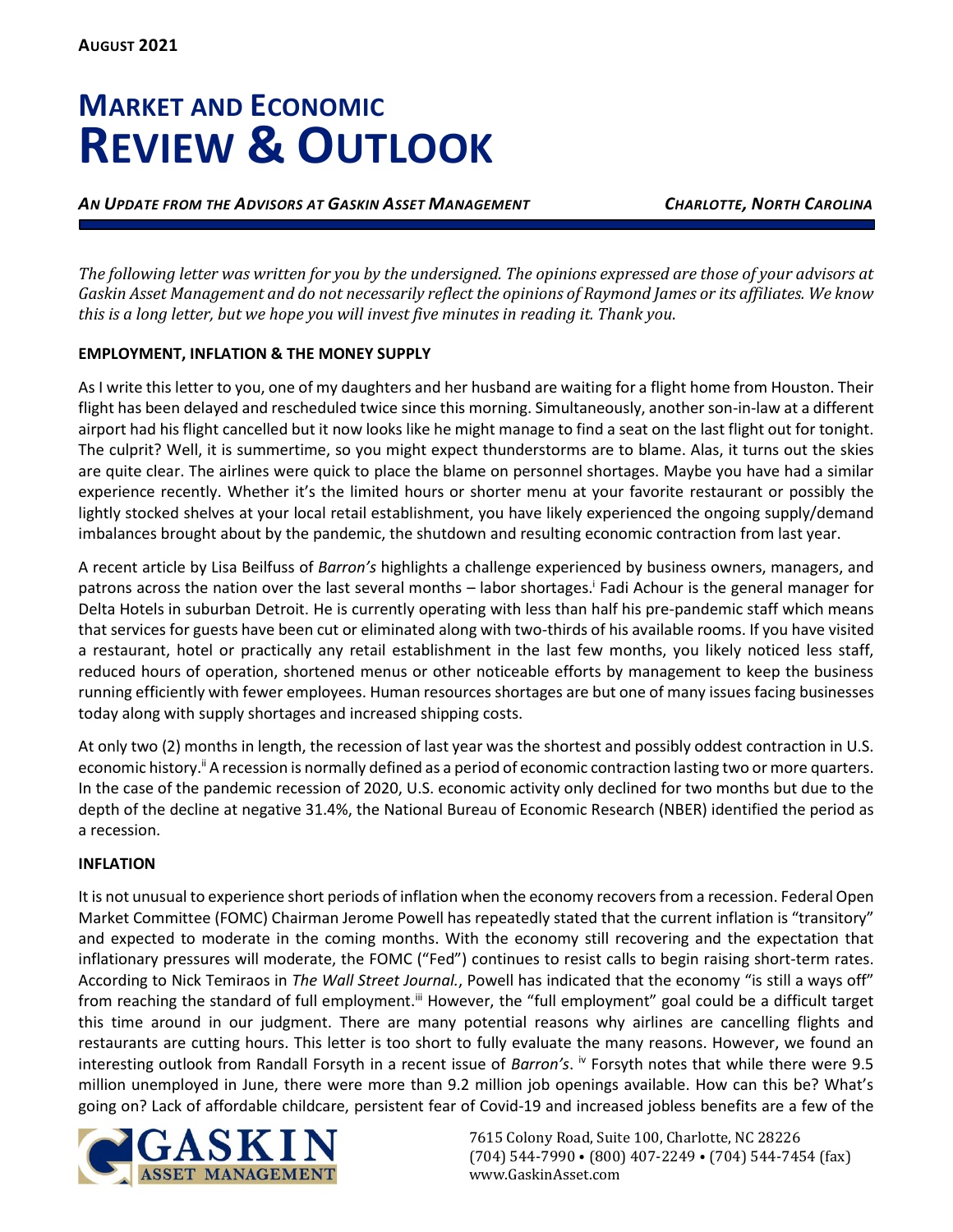# **MARKET AND ECONOMIC REVIEW & OUTLOOK**

*AN UPDATE FROM THE ADVISORS AT GASKIN ASSET MANAGEMENT CHARLOTTE, NORTH CAROLINA*

*The following letter was written for you by the undersigned. The opinions expressed are those of your advisors at Gaskin Asset Management and do not necessarily reflect the opinions of Raymond James or its affiliates. We know this is a long letter, but we hope you will invest five minutes in reading it. Thank you*.

# **EMPLOYMENT, INFLATION & THE MONEY SUPPLY**

As I write this letter to you, one of my daughters and her husband are waiting for a flight home from Houston. Their flight has been delayed and rescheduled twice since this morning. Simultaneously, another son-in-law at a different airport had his flight cancelled but it now looks like he might manage to find a seat on the last flight out for tonight. The culprit? Well, it is summertime, so you might expect thunderstorms are to blame. Alas, it turns out the skies are quite clear. The airlines were quick to place the blame on personnel shortages. Maybe you have had a similar experience recently. Whether it's the limited hours or shorter menu at your favorite restaurant or possibly the lightly stocked shelves at your local retail establishment, you have likely experienced the ongoing supply/demand imbalances brought about by the pandemic, the shutdown and resulting economic contraction from last year.

A recent article by Lisa Beilfuss of *Barron's* highlights a challenge experienced by business owners, managers, and patrons across the nation over the last several months - labor shortages.<sup>†</sup> Fadi Achour is the general manager for Delta Hotels in suburban Detroit. He is currently operating with less than half his pre-pandemic staff which means that services for guests have been cut or eliminated along with two-thirds of his available rooms. If you have visited a restaurant, hotel or practically any retail establishment in the last few months, you likely noticed less staff, reduced hours of operation, shortened menus or other noticeable efforts by management to keep the business running efficiently with fewer employees. Human resources shortages are but one of many issues facing businesses today along with supply shortages and increased shipping costs.

At only two (2) months in length, the recession of last year was the shortest and possibly oddest contraction in U.S. economic history.<sup>ii</sup> A recession is normally defined as a period of economic contraction lasting two or more quarters. In the case of the pandemic recession of 2020, U.S. economic activity only declined for two months but due to the depth of the decline at negative 31.4%, the National Bureau of Economic Research (NBER) identified the period as a recession.

## **INFLATION**

It is not unusual to experience short periods of inflation when the economy recovers from a recession. Federal Open Market Committee (FOMC) Chairman Jerome Powell has repeatedly stated that the current inflation is "transitory" and expected to moderate in the coming months. With the economy still recovering and the expectation that inflationary pressures will moderate, the FOMC ("Fed") continues to resist calls to begin raising short-term rates. According to Nick Temiraos in *The Wall Street Journal.*, Powell has indicated that the economy "is still a ways off" from reaching the standard of full employment.<sup>iii</sup> However, the "full employment" goal could be a difficult target this time around in our judgment. There are many potential reasons why airlines are cancelling flights and restaurants are cutting hours. This letter is too short to fully evaluate the many reasons. However, we found an interesting outlook from Randall Forsyth in a recent issue of *Barron's*. <sup>iv</sup> Forsyth notes that while there were 9.5 million unemployed in June, there were more than 9.2 million job openings available. How can this be? What's going on? Lack of affordable childcare, persistent fear of Covid-19 and increased jobless benefits are a few of the

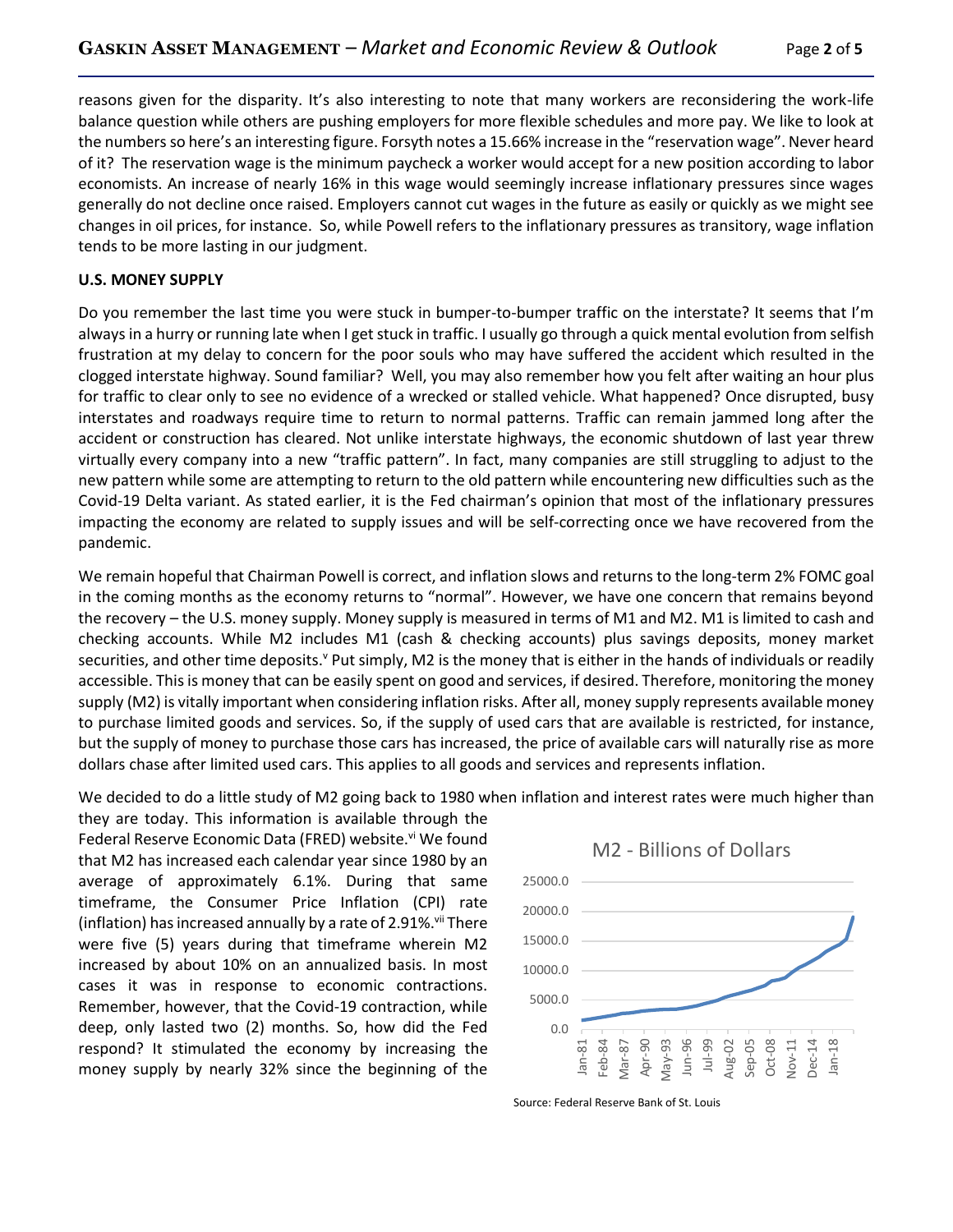reasons given for the disparity. It's also interesting to note that many workers are reconsidering the work-life balance question while others are pushing employers for more flexible schedules and more pay. We like to look at the numbersso here's an interesting figure. Forsyth notes a 15.66% increase in the "reservation wage". Never heard of it? The reservation wage is the minimum paycheck a worker would accept for a new position according to labor economists. An increase of nearly 16% in this wage would seemingly increase inflationary pressures since wages generally do not decline once raised. Employers cannot cut wages in the future as easily or quickly as we might see changes in oil prices, for instance. So, while Powell refers to the inflationary pressures as transitory, wage inflation tends to be more lasting in our judgment.

#### **U.S. MONEY SUPPLY**

Do you remember the last time you were stuck in bumper-to-bumper traffic on the interstate? It seems that I'm always in a hurry or running late when I get stuck in traffic. I usually go through a quick mental evolution from selfish frustration at my delay to concern for the poor souls who may have suffered the accident which resulted in the clogged interstate highway. Sound familiar? Well, you may also remember how you felt after waiting an hour plus for traffic to clear only to see no evidence of a wrecked or stalled vehicle. What happened? Once disrupted, busy interstates and roadways require time to return to normal patterns. Traffic can remain jammed long after the accident or construction has cleared. Not unlike interstate highways, the economic shutdown of last year threw virtually every company into a new "traffic pattern". In fact, many companies are still struggling to adjust to the new pattern while some are attempting to return to the old pattern while encountering new difficulties such as the Covid-19 Delta variant. As stated earlier, it is the Fed chairman's opinion that most of the inflationary pressures impacting the economy are related to supply issues and will be self-correcting once we have recovered from the pandemic.

We remain hopeful that Chairman Powell is correct, and inflation slows and returns to the long-term 2% FOMC goal in the coming months as the economy returns to "normal". However, we have one concern that remains beyond the recovery – the U.S. money supply. Money supply is measured in terms of M1 and M2. M1 is limited to cash and checking accounts. While M2 includes M1 (cash & checking accounts) plus savings deposits, money market securities, and other time deposits.<sup>v</sup> Put simply, M2 is the money that is either in the hands of individuals or readily accessible. This is money that can be easily spent on good and services, if desired. Therefore, monitoring the money supply (M2) is vitally important when considering inflation risks. After all, money supply represents available money to purchase limited goods and services. So, if the supply of used cars that are available is restricted, for instance, but the supply of money to purchase those cars has increased, the price of available cars will naturally rise as more dollars chase after limited used cars. This applies to all goods and services and represents inflation.

We decided to do a little study of M2 going back to 1980 when inflation and interest rates were much higher than

they are today. This information is available through the Federal Reserve Economic Data (FRED) website.<sup>vi</sup> We found that M2 has increased each calendar year since 1980 by an average of approximately 6.1%. During that same timeframe, the Consumer Price Inflation (CPI) rate (inflation) has increased annually by a rate of 2.91%. $\mathrm{W}$ There were five (5) years during that timeframe wherein M2 increased by about 10% on an annualized basis. In most cases it was in response to economic contractions. Remember, however, that the Covid-19 contraction, while deep, only lasted two (2) months. So, how did the Fed respond? It stimulated the economy by increasing the money supply by nearly 32% since the beginning of the



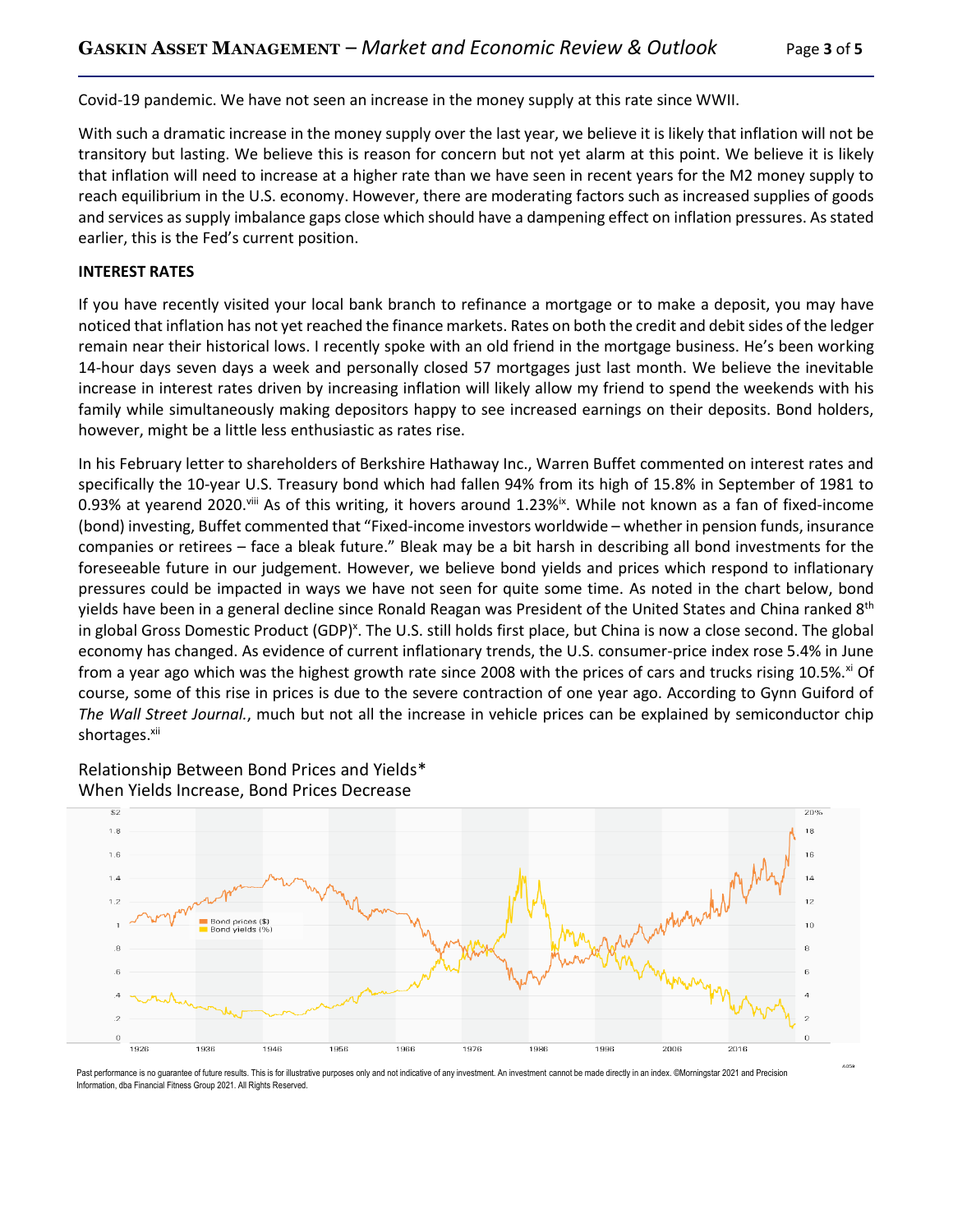Covid-19 pandemic. We have not seen an increase in the money supply at this rate since WWII.

With such a dramatic increase in the money supply over the last year, we believe it is likely that inflation will not be transitory but lasting. We believe this is reason for concern but not yet alarm at this point. We believe it is likely that inflation will need to increase at a higher rate than we have seen in recent years for the M2 money supply to reach equilibrium in the U.S. economy. However, there are moderating factors such as increased supplies of goods and services as supply imbalance gaps close which should have a dampening effect on inflation pressures. As stated earlier, this is the Fed's current position.

#### **INTEREST RATES**

If you have recently visited your local bank branch to refinance a mortgage or to make a deposit, you may have noticed that inflation has not yet reached the finance markets. Rates on both the credit and debit sides of the ledger remain near their historical lows. I recently spoke with an old friend in the mortgage business. He's been working 14-hour days seven days a week and personally closed 57 mortgages just last month. We believe the inevitable increase in interest rates driven by increasing inflation will likely allow my friend to spend the weekends with his family while simultaneously making depositors happy to see increased earnings on their deposits. Bond holders, however, might be a little less enthusiastic as rates rise.

In his February letter to shareholders of Berkshire Hathaway Inc., Warren Buffet commented on interest rates and specifically the 10-year U.S. Treasury bond which had fallen 94% from its high of 15.8% in September of 1981 to 0.93% at yearend 2020.<sup>viii</sup> As of this writing, it hovers around 1.23%<sup>ix</sup>. While not known as a fan of fixed-income (bond) investing, Buffet commented that "Fixed-income investors worldwide – whether in pension funds, insurance companies or retirees – face a bleak future." Bleak may be a bit harsh in describing all bond investments for the foreseeable future in our judgement. However, we believe bond yields and prices which respond to inflationary pressures could be impacted in ways we have not seen for quite some time. As noted in the chart below, bond yields have been in a general decline since Ronald Reagan was President of the United States and China ranked 8<sup>th</sup> in global Gross Domestic Product (GDP)<sup>x</sup>. The U.S. still holds first place, but China is now a close second. The global economy has changed. As evidence of current inflationary trends, the U.S. consumer-price index rose 5.4% in June from a year ago which was the highest growth rate since 2008 with the prices of cars and trucks rising 10.5%.<sup>xi</sup> Of course, some of this rise in prices is due to the severe contraction of one year ago. According to Gynn Guiford of *The Wall Street Journal.*, much but not all the increase in vehicle prices can be explained by semiconductor chip shortages.<sup>xii</sup>



Relationship Between Bond Prices and Yields\* When Yields Increase, Bond Prices Decrease

Past performance is no guarantee of future results. This is for illustrative purposes only and not indicative of any investment. An investment cannot be made directly in an index. ©Morningstar 2021 and Precision Information, dba Financial Fitness Group 2021. All Rights Reserved.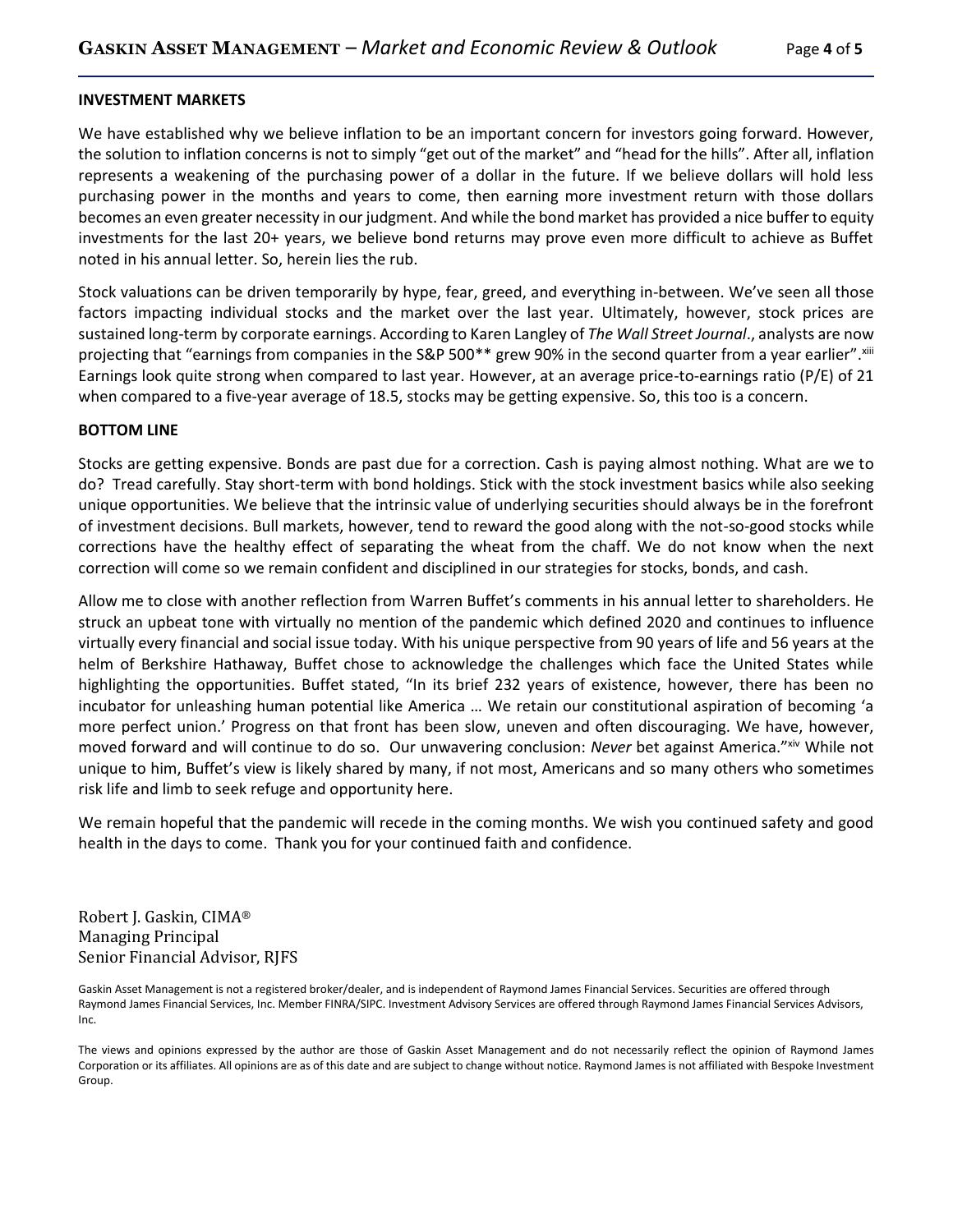## **INVESTMENT MARKETS**

We have established why we believe inflation to be an important concern for investors going forward. However, the solution to inflation concerns is not to simply "get out of the market" and "head for the hills". After all, inflation represents a weakening of the purchasing power of a dollar in the future. If we believe dollars will hold less purchasing power in the months and years to come, then earning more investment return with those dollars becomes an even greater necessity in our judgment. And while the bond market has provided a nice buffer to equity investments for the last 20+ years, we believe bond returns may prove even more difficult to achieve as Buffet noted in his annual letter. So, herein lies the rub.

Stock valuations can be driven temporarily by hype, fear, greed, and everything in-between. We've seen all those factors impacting individual stocks and the market over the last year. Ultimately, however, stock prices are sustained long-term by corporate earnings. According to Karen Langley of *The Wall Street Journal*., analysts are now projecting that "earnings from companies in the S&P 500\*\* grew 90% in the second quarter from a year earlier".xiii Earnings look quite strong when compared to last year. However, at an average price-to-earnings ratio (P/E) of 21 when compared to a five-year average of 18.5, stocks may be getting expensive. So, this too is a concern.

## **BOTTOM LINE**

Stocks are getting expensive. Bonds are past due for a correction. Cash is paying almost nothing. What are we to do? Tread carefully. Stay short-term with bond holdings. Stick with the stock investment basics while also seeking unique opportunities. We believe that the intrinsic value of underlying securities should always be in the forefront of investment decisions. Bull markets, however, tend to reward the good along with the not-so-good stocks while corrections have the healthy effect of separating the wheat from the chaff. We do not know when the next correction will come so we remain confident and disciplined in our strategies for stocks, bonds, and cash.

Allow me to close with another reflection from Warren Buffet's comments in his annual letter to shareholders. He struck an upbeat tone with virtually no mention of the pandemic which defined 2020 and continues to influence virtually every financial and social issue today. With his unique perspective from 90 years of life and 56 years at the helm of Berkshire Hathaway, Buffet chose to acknowledge the challenges which face the United States while highlighting the opportunities. Buffet stated, "In its brief 232 years of existence, however, there has been no incubator for unleashing human potential like America … We retain our constitutional aspiration of becoming 'a more perfect union.' Progress on that front has been slow, uneven and often discouraging. We have, however, moved forward and will continue to do so. Our unwavering conclusion: *Never* bet against America."xiv While not unique to him, Buffet's view is likely shared by many, if not most, Americans and so many others who sometimes risk life and limb to seek refuge and opportunity here.

We remain hopeful that the pandemic will recede in the coming months. We wish you continued safety and good health in the days to come. Thank you for your continued faith and confidence.

Robert J. Gaskin, CIMA® Managing Principal Senior Financial Advisor, RJFS

Gaskin Asset Management is not a registered broker/dealer, and is independent of Raymond James Financial Services. Securities are offered through Raymond James Financial Services, Inc. Member FINRA/SIPC. Investment Advisory Services are offered through Raymond James Financial Services Advisors, Inc.

The views and opinions expressed by the author are those of Gaskin Asset Management and do not necessarily reflect the opinion of Raymond James Corporation or its affiliates. All opinions are as of this date and are subject to change without notice. Raymond James is not affiliated with Bespoke Investment Group.